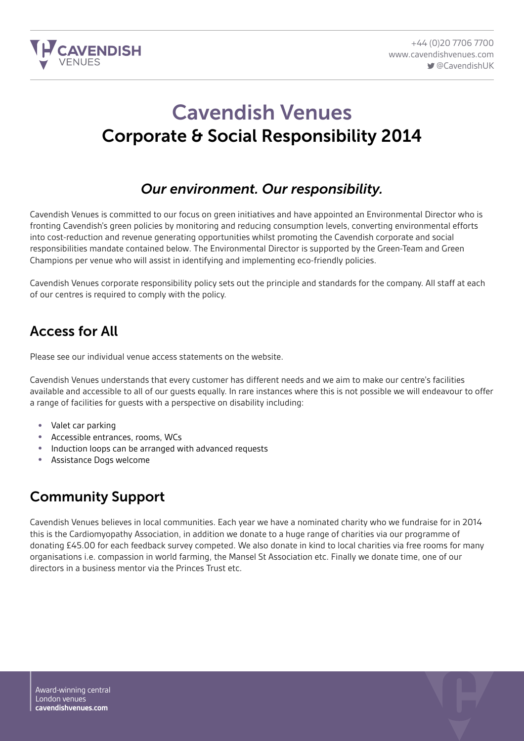

# Cavendish Venues Corporate & Social Responsibility 2014

#### *Our environment. Our responsibility.*

Cavendish Venues is committed to our focus on green initiatives and have appointed an Environmental Director who is fronting Cavendish's green policies by monitoring and reducing consumption levels, converting environmental efforts into cost-reduction and revenue generating opportunities whilst promoting the Cavendish corporate and social responsibilities mandate contained below. The Environmental Director is supported by the Green-Team and Green Champions per venue who will assist in identifying and implementing eco-friendly policies.

Cavendish Venues corporate responsibility policy sets out the principle and standards for the company. All staff at each of our centres is required to comply with the policy.

#### Access for All

Please see our individual venue access statements on the website.

Cavendish Venues understands that every customer has different needs and we aim to make our centre's facilities available and accessible to all of our guests equally. In rare instances where this is not possible we will endeavour to offer a range of facilities for guests with a perspective on disability including:

- Valet car parking
- Accessible entrances, rooms, WCs
- Induction loops can be arranged with advanced requests
- Assistance Dogs welcome

## Community Support

Cavendish Venues believes in local communities. Each year we have a nominated charity who we fundraise for in 2014 this is the Cardiomyopathy Association, in addition we donate to a huge range of charities via our programme of donating £45.00 for each feedback survey competed. We also donate in kind to local charities via free rooms for many organisations i.e. compassion in world farming, the Mansel St Association etc. Finally we donate time, one of our directors in a business mentor via the Princes Trust etc.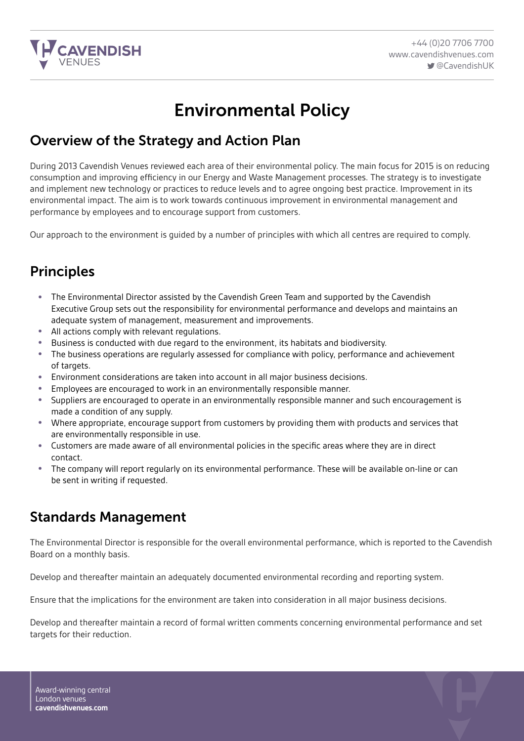

## Environmental Policy

#### Overview of the Strategy and Action Plan

During 2013 Cavendish Venues reviewed each area of their environmental policy. The main focus for 2015 is on reducing consumption and improving efficiency in our Energy and Waste Management processes. The strategy is to investigate and implement new technology or practices to reduce levels and to agree ongoing best practice. Improvement in its environmental impact. The aim is to work towards continuous improvement in environmental management and performance by employees and to encourage support from customers.

Our approach to the environment is guided by a number of principles with which all centres are required to comply.

#### Principles

- The Environmental Director assisted by the Cavendish Green Team and supported by the Cavendish Executive Group sets out the responsibility for environmental performance and develops and maintains an adequate system of management, measurement and improvements.
- All actions comply with relevant regulations.<br>• Business is conducted with due regard to the
- Business is conducted with due regard to the environment, its habitats and biodiversity.<br>• The business operations are requierly assessed for compliance with policy, performance
- The business operations are regularly assessed for compliance with policy, performance and achievement of targets.
- Environment considerations are taken into account in all major business decisions.
- Employees are encouraged to work in an environmentally responsible manner.
- Suppliers are encouraged to operate in an environmentally responsible manner and such encouragement is made a condition of any supply.
- Where appropriate, encourage support from customers by providing them with products and services that are environmentally responsible in use.
- Customers are made aware of all environmental policies in the specific areas where they are in direct contact.
- The company will report regularly on its environmental performance. These will be available on-line or can be sent in writing if requested.

#### Standards Management

The Environmental Director is responsible for the overall environmental performance, which is reported to the Cavendish Board on a monthly basis.

Develop and thereafter maintain an adequately documented environmental recording and reporting system.

Ensure that the implications for the environment are taken into consideration in all major business decisions.

Develop and thereafter maintain a record of formal written comments concerning environmental performance and set targets for their reduction.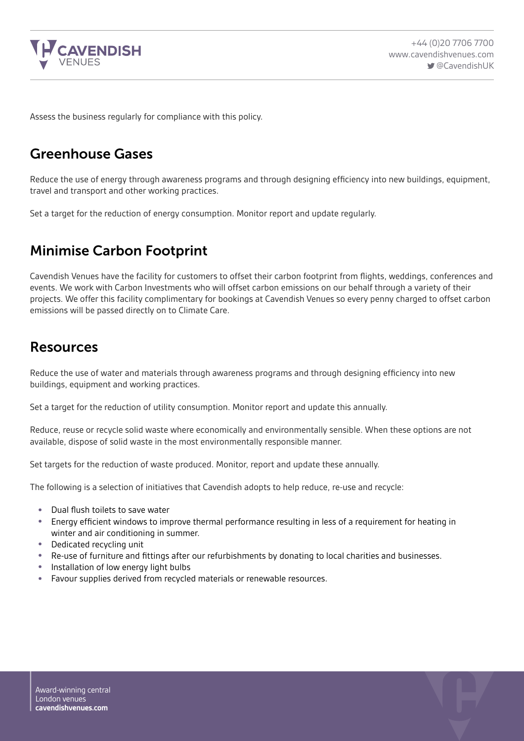

Assess the business regularly for compliance with this policy.

#### Greenhouse Gases

Reduce the use of energy through awareness programs and through designing efficiency into new buildings, equipment, travel and transport and other working practices.

Set a target for the reduction of energy consumption. Monitor report and update regularly.

## Minimise Carbon Footprint

Cavendish Venues have the facility for customers to offset their carbon footprint from flights, weddings, conferences and events. We work with Carbon Investments who will offset carbon emissions on our behalf through a variety of their projects. We offer this facility complimentary for bookings at Cavendish Venues so every penny charged to offset carbon emissions will be passed directly on to Climate Care.

#### Resources

Reduce the use of water and materials through awareness programs and through designing efficiency into new buildings, equipment and working practices.

Set a target for the reduction of utility consumption. Monitor report and update this annually.

Reduce, reuse or recycle solid waste where economically and environmentally sensible. When these options are not available, dispose of solid waste in the most environmentally responsible manner.

Set targets for the reduction of waste produced. Monitor, report and update these annually.

The following is a selection of initiatives that Cavendish adopts to help reduce, re-use and recycle:

- Dual flush toilets to save water
- Energy efficient windows to improve thermal performance resulting in less of a requirement for heating in winter and air conditioning in summer.
- Dedicated recycling unit
- Re-use of furniture and fittings after our refurbishments by donating to local charities and businesses.
- Installation of low energy light bulbs
- Favour supplies derived from recycled materials or renewable resources.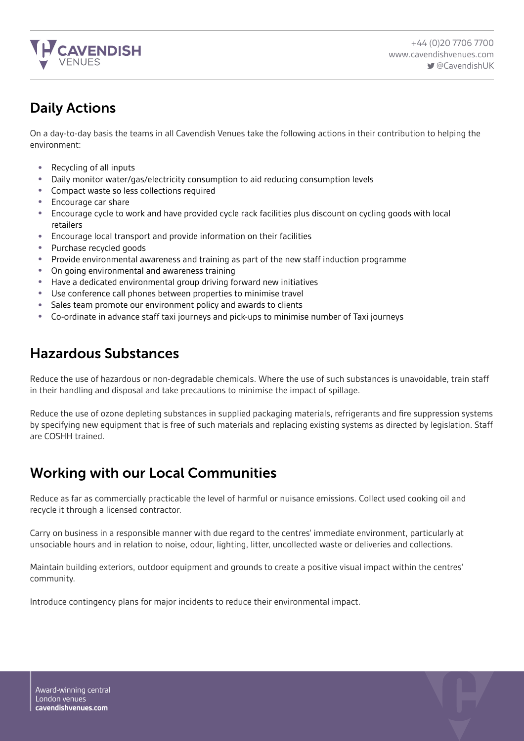

## Daily Actions

On a day-to-day basis the teams in all Cavendish Venues take the following actions in their contribution to helping the environment:

- Recycling of all inputs<br>• Daily monitor water/g
- Daily monitor water/gas/electricity consumption to aid reducing consumption levels
- Compact waste so less collections required
- Encourage car share<br>• Encourage cyclo to w
- Encourage cycle to work and have provided cycle rack facilities plus discount on cycling goods with local retailers
- Encourage local transport and provide information on their facilities<br>• Purchase recycled goods
- Purchase recycled goods<br>• Provide environmental av
- Provide environmental awareness and training as part of the new staff induction programme
- On going environmental and awareness training
- Have a dedicated environmental group driving forward new initiatives<br>• Hse conference call phones between properties to minimise travel
- Use conference call phones between properties to minimise travel
- Sales team promote our environment policy and awards to clients
- Co-ordinate in advance staff taxi journeys and pick-ups to minimise number of Taxi journeys

#### Hazardous Substances

Reduce the use of hazardous or non-degradable chemicals. Where the use of such substances is unavoidable, train staff in their handling and disposal and take precautions to minimise the impact of spillage.

Reduce the use of ozone depleting substances in supplied packaging materials, refrigerants and fire suppression systems by specifying new equipment that is free of such materials and replacing existing systems as directed by legislation. Staff are COSHH trained.

#### Working with our Local Communities

Reduce as far as commercially practicable the level of harmful or nuisance emissions. Collect used cooking oil and recycle it through a licensed contractor.

Carry on business in a responsible manner with due regard to the centres' immediate environment, particularly at unsociable hours and in relation to noise, odour, lighting, litter, uncollected waste or deliveries and collections.

Maintain building exteriors, outdoor equipment and grounds to create a positive visual impact within the centres' community.

Introduce contingency plans for major incidents to reduce their environmental impact.